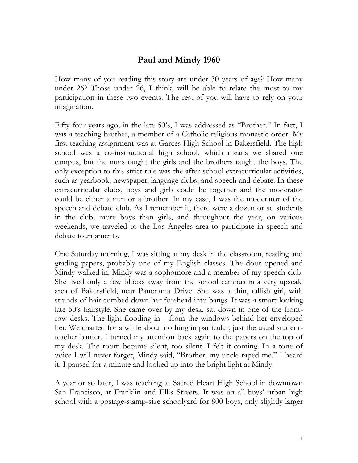## **Paul and Mindy 1960**

How many of you reading this story are under 30 years of age? How many under 26? Those under 26, I think, will be able to relate the most to my participation in these two events. The rest of you will have to rely on your imagination.

Fifty-four years ago, in the late 50's, I was addressed as "Brother." In fact, I was a teaching brother, a member of a Catholic religious monastic order. My first teaching assignment was at Garces High School in Bakersfield. The high school was a co-instructional high school, which means we shared one campus, but the nuns taught the girls and the brothers taught the boys. The only exception to this strict rule was the after-school extracurricular activities, such as yearbook, newspaper, language clubs, and speech and debate. In these extracurricular clubs, boys and girls could be together and the moderator could be either a nun or a brother. In my case, I was the moderator of the speech and debate club. As I remember it, there were a dozen or so students in the club, more boys than girls, and throughout the year, on various weekends, we traveled to the Los Angeles area to participate in speech and debate tournaments.

One Saturday morning, I was sitting at my desk in the classroom, reading and grading papers, probably one of my English classes. The door opened and Mindy walked in. Mindy was a sophomore and a member of my speech club. She lived only a few blocks away from the school campus in a very upscale area of Bakersfield, near Panorama Drive. She was a thin, tallish girl, with strands of hair combed down her forehead into bangs. It was a smart-looking late 50's hairstyle. She came over by my desk, sat down in one of the frontrow desks. The light flooding in from the windows behind her enveloped her. We chatted for a while about nothing in particular, just the usual studentteacher banter. I turned my attention back again to the papers on the top of my desk. The room became silent, too silent. I felt it coming. In a tone of voice I will never forget, Mindy said, "Brother, my uncle raped me." I heard it. I paused for a minute and looked up into the bright light at Mindy.

A year or so later, I was teaching at Sacred Heart High School in downtown San Francisco, at Franklin and Ellis Streets. It was an all-boys' urban high school with a postage-stamp-size schoolyard for 800 boys, only slightly larger